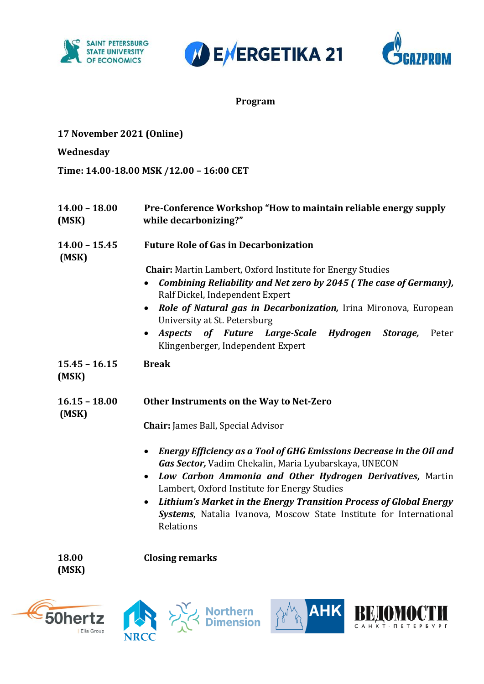





#### **Program**

| 17 November 2021 (Online) |  |
|---------------------------|--|
|                           |  |

**Wednesday**

**Time: 14.00-18.00 MSK /12.00 – 16:00 CET**

| $14.00 - 18.00$<br>(MSK) | Pre-Conference Workshop "How to maintain reliable energy supply<br>while decarbonizing?"                                                                                                                                                                                                                                                                                                                                                                                                |  |  |
|--------------------------|-----------------------------------------------------------------------------------------------------------------------------------------------------------------------------------------------------------------------------------------------------------------------------------------------------------------------------------------------------------------------------------------------------------------------------------------------------------------------------------------|--|--|
| $14.00 - 15.45$<br>(MSK) | <b>Future Role of Gas in Decarbonization</b>                                                                                                                                                                                                                                                                                                                                                                                                                                            |  |  |
|                          | <b>Chair:</b> Martin Lambert, Oxford Institute for Energy Studies<br>Combining Reliability and Net zero by 2045 (The case of Germany),<br>$\bullet$<br>Ralf Dickel, Independent Expert<br>Role of Natural gas in Decarbonization, Irina Mironova, European<br>$\bullet$<br>University at St. Petersburg<br>Aspects of Future Large-Scale<br>Hydrogen<br>Storage,<br>Peter<br>$\bullet$<br>Klingenberger, Independent Expert                                                             |  |  |
| $15.45 - 16.15$<br>(MSK) | <b>Break</b>                                                                                                                                                                                                                                                                                                                                                                                                                                                                            |  |  |
| $16.15 - 18.00$<br>(MSK) | Other Instruments on the Way to Net-Zero                                                                                                                                                                                                                                                                                                                                                                                                                                                |  |  |
|                          | <b>Chair:</b> James Ball, Special Advisor<br>Energy Efficiency as a Tool of GHG Emissions Decrease in the Oil and<br>$\bullet$<br>Gas Sector, Vadim Chekalin, Maria Lyubarskaya, UNECON<br>Low Carbon Ammonia and Other Hydrogen Derivatives, Martin<br>$\bullet$<br>Lambert, Oxford Institute for Energy Studies<br>Lithium's Market in the Energy Transition Process of Global Energy<br>$\bullet$<br>Systems, Natalia Ivanova, Moscow State Institute for International<br>Relations |  |  |
| 18.00<br>(MSK)           | <b>Closing remarks</b>                                                                                                                                                                                                                                                                                                                                                                                                                                                                  |  |  |

ے<br>Northern ∑<br>Nimension ≻

I

ВЩ

CAHKT- NETEP BY PT

**AHK** 



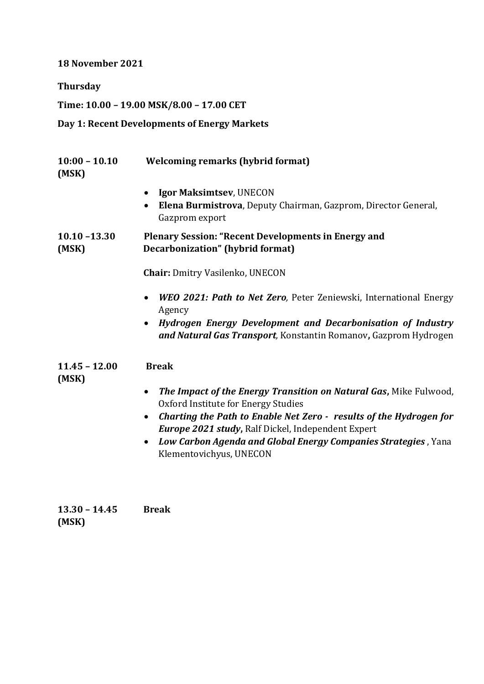**18 November 2021**

**Thursday**

**Time: 10.00 – 19.00 MSK/8.00 – 17.00 CET**

## **Day 1: Recent Developments of Energy Markets**

| $10:00 - 10.10$<br>(MSK) | <b>Welcoming remarks (hybrid format)</b>                                                                                                                                                                                                       |  |  |
|--------------------------|------------------------------------------------------------------------------------------------------------------------------------------------------------------------------------------------------------------------------------------------|--|--|
|                          | Igor Maksimtsev, UNECON<br>٠<br>Elena Burmistrova, Deputy Chairman, Gazprom, Director General,<br>$\bullet$<br>Gazprom export                                                                                                                  |  |  |
| $10.10 - 13.30$<br>(MSK) | <b>Plenary Session: "Recent Developments in Energy and</b><br>Decarbonization" (hybrid format)<br><b>Chair: Dmitry Vasilenko, UNECON</b>                                                                                                       |  |  |
|                          |                                                                                                                                                                                                                                                |  |  |
|                          | <b>WEO 2021: Path to Net Zero, Peter Zeniewski, International Energy</b><br>$\bullet$<br>Agency<br>Hydrogen Energy Development and Decarbonisation of Industry<br>$\bullet$<br>and Natural Gas Transport, Konstantin Romanov, Gazprom Hydrogen |  |  |
| $11.45 - 12.00$<br>(MSK) | <b>Break</b>                                                                                                                                                                                                                                   |  |  |
|                          | The Impact of the Energy Transition on Natural Gas, Mike Fulwood,<br>$\bullet$                                                                                                                                                                 |  |  |
|                          | Oxford Institute for Energy Studies                                                                                                                                                                                                            |  |  |
|                          | Charting the Path to Enable Net Zero - results of the Hydrogen for<br>$\bullet$                                                                                                                                                                |  |  |
|                          | <b>Europe 2021 study, Ralf Dickel, Independent Expert</b>                                                                                                                                                                                      |  |  |
|                          | Low Carbon Agenda and Global Energy Companies Strategies, Yana<br>$\bullet$                                                                                                                                                                    |  |  |
|                          | Klementovichyus, UNECON                                                                                                                                                                                                                        |  |  |

| $13.30 - 14.45$ | <b>Break</b> |
|-----------------|--------------|
| (MSK)           |              |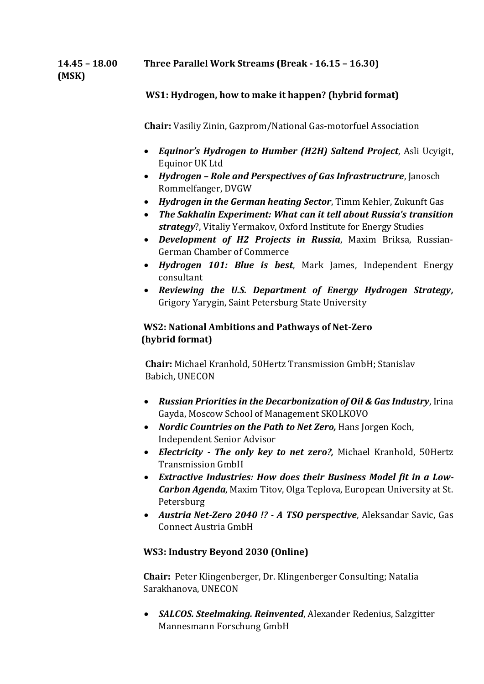**14.45 – 18.00 Three Parallel Work Streams (Break - 16.15 – 16.30)**

**(MSK)** 

## **WS1: Hydrogen, how to make it happen? (hybrid format)**

 **Chair:** Vasiliy Zinin, Gazprom/National Gas-motorfuel Association

- *Equinor's Hydrogen to Humber (H2H) Saltend Project*, Asli Ucyigit, Equinor UK Ltd
- *Hydrogen – Role and Perspectives of Gas Infrastructrure*, Janosch Rommelfanger, DVGW
- *Hydrogen in the German heating Sector*, Timm Kehler, Zukunft Gas
- *The Sakhalin Experiment: What can it tell about Russia's transition strategy*?, Vitaliy Yermakov, Oxford Institute for Energy Studies
- *Development of H2 Projects in Russia*, Maxim Briksa, Russian-German Chamber of Commerce
- *Hydrogen 101: Blue is best*, Mark James, Independent Energy consultant
- *Reviewing the U.S. Department of Energy Hydrogen Strategy,*  Grigory Yarygin, Saint Petersburg State University

## **WS2: National Ambitions and Pathways of Net-Zero (hybrid format)**

 **Chair:** Michael Kranhold, 50Hertz Transmission GmbH; Stanislav Babich, UNECON

- *Russian Priorities in the Decarbonization of Oil & Gas Industry*, Irina Gayda, Moscow School of Management SKOLKOVO
- *Nordic Countries on the Path to Net Zero,* Hans Jorgen Koch, Independent Senior Advisor
- *Electricity - The only key to net zero?,* Michael Kranhold, 50Hertz Transmission GmbH
- *Extractive Industries: How does their Business Model fit in a Low-Carbon Agenda*, Maxim Titov, Olga Teplova, European University at St. Petersburg
- *Austria Net-Zero 2040 !? - A TSO perspective*, Aleksandar Savic, Gas Connect Austria GmbH

## **WS3: Industry Beyond 2030 (Online)**

 **Chair:** Peter Klingenberger, Dr. Klingenberger Consulting; Natalia Sarakhanova, UNECON

 *SALCOS. Steelmaking. Reinvented*, Alexander Redenius, Salzgitter Mannesmann Forschung GmbH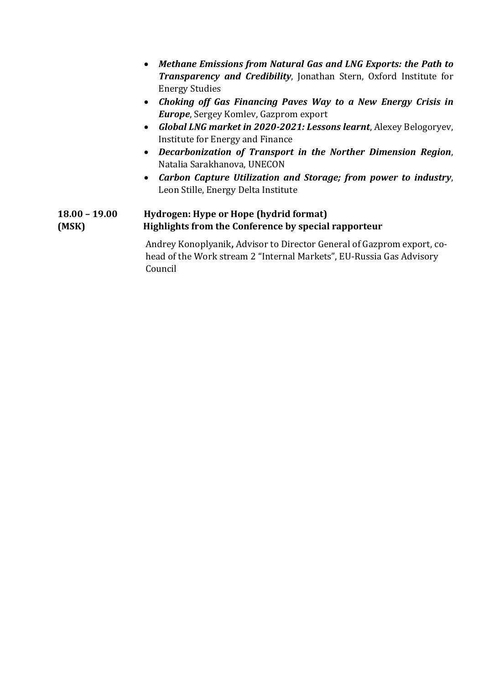*Methane Emissions from Natural Gas and LNG Exports: the Path to Transparency and Credibility*, Jonathan Stern, Oxford Institute for Energy Studies *Choking off Gas Financing Paves Way to a New Energy Crisis in Europe*, Sergey Komlev, Gazprom export *Global LNG market in 2020-2021: Lessons learnt*, Alexey Belogoryev, Institute for Energy and Finance *Decarbonization of Transport in the Norther Dimension Region*, Natalia Sarakhanova, UNECON *Carbon Capture Utilization and Storage; from power to industry*, Leon Stille, Energy Delta Institute **18.00 – 19.00 Hydrogen: Hype or Hope (hydrid format) (MSK) Highlights from the Conference by special rapporteur** Andrey Konoplyanik**,** Advisor to Director General of Gazprom export, co head of the Work stream 2 "Internal Markets", EU-Russia Gas Advisory

Council